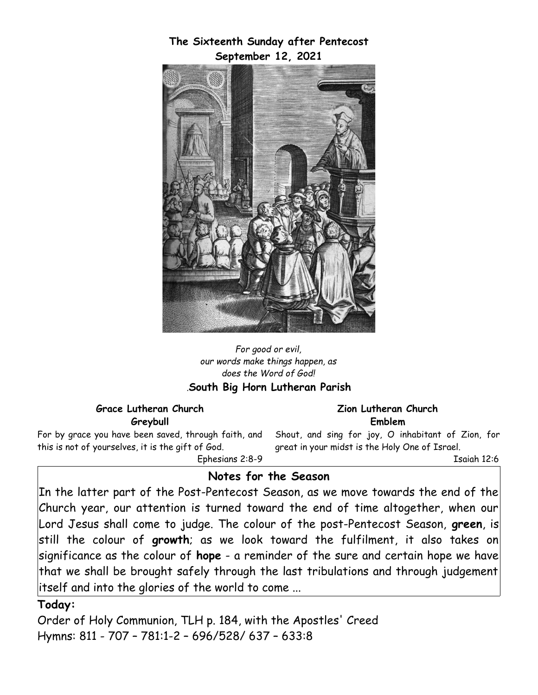**The Sixteenth Sunday after Pentecost September 12, 2021**



#### *For good or evil, our words make things happen, as does the Word of God! .***South Big Horn Lutheran Parish**

#### **Grace Lutheran Church Greybull**

For by grace you have been saved, through faith, and this is not of yourselves, it is the gift of God.

Ephesians 2:8-9

### **Zion Lutheran Church Emblem**

Shout, and sing for joy, O inhabitant of Zion, for great in your midst is the Holy One of Israel. Isaiah 12:6

# **Notes for the Season**

In the latter part of the Post-Pentecost Season, as we move towards the end of the Church year, our attention is turned toward the end of time altogether, when our Lord Jesus shall come to judge. The colour of the post-Pentecost Season, **green**, is still the colour of **growth**; as we look toward the fulfilment, it also takes on significance as the colour of **hope** - a reminder of the sure and certain hope we have that we shall be brought safely through the last tribulations and through judgement itself and into the glories of the world to come ...

## **Today:**

Order of Holy Communion, TLH p. 184, with the Apostles' Creed Hymns: 811 - 707 – 781:1-2 – 696/528/ 637 – 633:8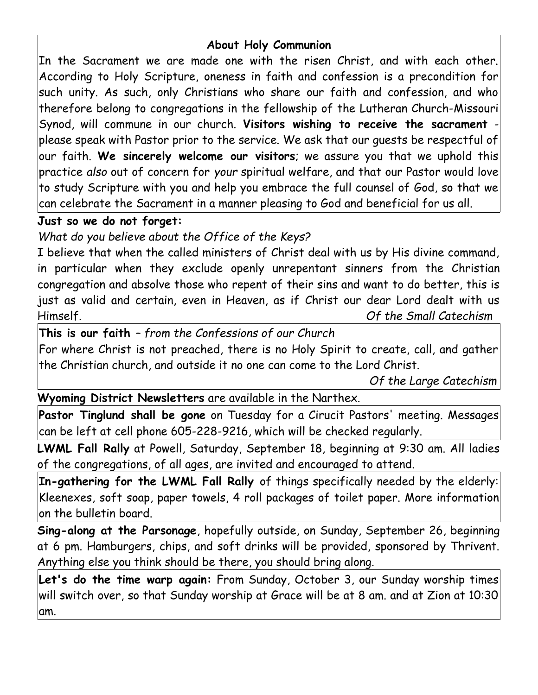## **About Holy Communion**

In the Sacrament we are made one with the risen Christ, and with each other. According to Holy Scripture, oneness in faith and confession is a precondition for such unity. As such, only Christians who share our faith and confession, and who therefore belong to congregations in the fellowship of the Lutheran Church-Missouri Synod, will commune in our church. **Visitors wishing to receive the sacrament** please speak with Pastor prior to the service. We ask that our guests be respectful of our faith. **We sincerely welcome our visitors**; we assure you that we uphold this practice *also* out of concern for *your* spiritual welfare, and that our Pastor would love to study Scripture with you and help you embrace the full counsel of God, so that we can celebrate the Sacrament in a manner pleasing to God and beneficial for us all.

## **Just so we do not forget:**

*What do you believe about the Office of the Keys?*

I believe that when the called ministers of Christ deal with us by His divine command, in particular when they exclude openly unrepentant sinners from the Christian congregation and absolve those who repent of their sins and want to do better, this is just as valid and certain, even in Heaven, as if Christ our dear Lord dealt with us Himself. *Of the Small Catechism*

**This is our faith** *– from the Confessions of our Church*

For where Christ is not preached, there is no Holy Spirit to create, call, and gather the Christian church, and outside it no one can come to the Lord Christ.

*Of the Large Catechism*

## **Wyoming District Newsletters** are available in the Narthex.

**Pastor Tinglund shall be gone** on Tuesday for a Cirucit Pastors' meeting. Messages can be left at cell phone 605-228-9216, which will be checked regularly.

**LWML Fall Rally** at Powell, Saturday, September 18, beginning at 9:30 am. All ladies of the congregations, of all ages, are invited and encouraged to attend.

**In-gathering for the LWML Fall Rally** of things specifically needed by the elderly: Kleenexes, soft soap, paper towels, 4 roll packages of toilet paper. More information on the bulletin board.

**Sing-along at the Parsonage**, hopefully outside, on Sunday, September 26, beginning at 6 pm. Hamburgers, chips, and soft drinks will be provided, sponsored by Thrivent. Anything else you think should be there, you should bring along.

**Let's do the time warp again:** From Sunday, October 3, our Sunday worship times will switch over, so that Sunday worship at Grace will be at 8 am. and at Zion at 10:30 am.